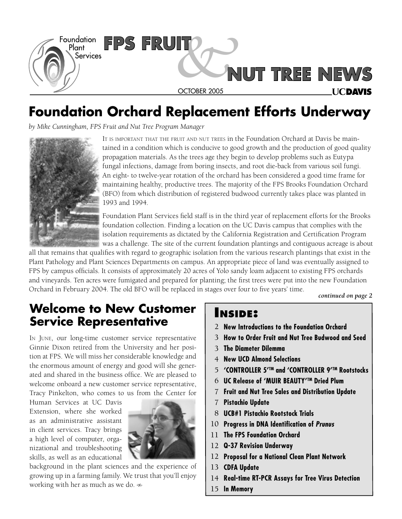

### **Foundation Orchard Replacement Efforts Underway**

*by Mike Cunningham, FPS Fruit and Nut Tree Program Manager*



IT IS IMPORTANT THAT THE FRUIT AND NUT TREES in the Foundation Orchard at Davis be maintained in a condition which is conducive to good growth and the production of good quality propagation materials. As the trees age they begin to develop problems such as Eutypa fungal infections, damage from boring insects, and root die-back from various soil fungi. An eight- to twelve-year rotation of the orchard has been considered a good time frame for maintaining healthy, productive trees. The majority of the FPS Brooks Foundation Orchard (BFO) from which distribution of registered budwood currently takes place was planted in 1993 and 1994.

Foundation Plant Services field staff is in the third year of replacement efforts for the Brooks foundation collection. Finding a location on the UC Davis campus that complies with the isolation requirements as dictated by the California Registration and Certification Program was a challenge. The site of the current foundation plantings and contiguous acreage is about

all that remains that qualifies with regard to geographic isolation from the various research plantings that exist in the Plant Pathology and Plant Sciences Departments on campus. An appropriate piece of land was eventually assigned to FPS by campus officials. It consists of approximately 20 acres of Yolo sandy loam adjacent to existing FPS orchards and vineyards. Ten acres were fumigated and prepared for planting; the first trees were put into the new Foundation Orchard in February 2004. The old BFO will be replaced in stages over four to five years' time.

*continued on page 2*

### **Welcome to New Customer Service Representative**

IN JUNE, our long-time customer service representative Ginnie Dixon retired from the University and her position at FPS. We will miss her considerable knowledge and the enormous amount of energy and good will she generated and shared in the business office. We are pleased to welcome onboard a new customer service representative, Tracy Pinkelton, who comes to us from the Center for

Human Services at UC Davis Extension, where she worked as an administrative assistant in client services. Tracy brings a high level of computer, organizational and troubleshooting skills, as well as an educational



background in the plant sciences and the experience of growing up in a farming family. We trust that you'll enjoy working with her as much as we do.

### **INSIDE:**

- **New Introductions to the Foundation Orchard** 2
- **How to Order Fruit and Nut Tree Budwood and Seed**  3
- **The Diameter Dilemma** 3
- **New UCD Almond Selections** 4
- 5 'CONTROLLER 5<sup>rm</sup> and 'CONTROLLER 9<sup>rm</sup> Rootstocks
- $6$  UC Release of 'MUIR BEAUTY'<sup>™</sup> Dried Plum
- **Fruit and Nut Tree Sales and Distribution Update** 7
- **Pistachio Update** 7
- **UCB#1 Pistachio Rootstock Trials** 8
- **Progress in DNA Identification of Prunus** 10
- **The FPS Foundation Orchard** 11
- **Q-37 Revision Underway** 12
- **Proposal for a National Clean Plant Network** 12
- **CDFA Update** 13
- 14 Real-time RT-PCR Assays for Tree Virus Detection
- 15 In Memory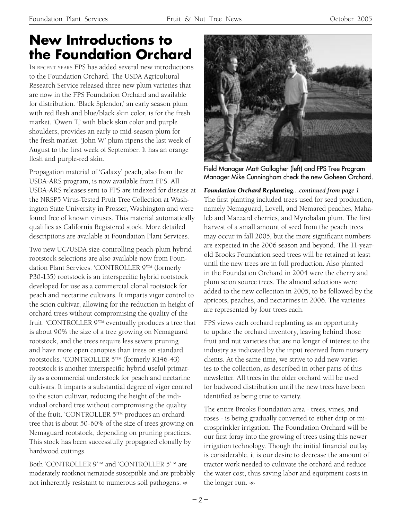### **New Introductions to the Foundation Orchard**

IN RECENT YEARS FPS has added several new introductions to the Foundation Orchard. The USDA Agricultural Research Service released three new plum varieties that are now in the FPS Foundation Orchard and available for distribution. 'Black Splendor,' an early season plum with red flesh and blue/black skin color, is for the fresh market. 'Owen T,' with black skin color and purple shoulders, provides an early to mid-season plum for the fresh market. 'John W' plum ripens the last week of August to the first week of September. It has an orange flesh and purple-red skin.

Propagation material of 'Galaxy' peach, also from the USDA-ARS program, is now available from FPS. All USDA-ARS releases sent to FPS are indexed for disease at the NRSP5 Virus-Tested Fruit Tree Collection at Washington State University in Prosser, Washington and were found free of known viruses. This material automatically qualifies as California Registered stock. More detailed descriptions are available at Foundation Plant Services.

Two new UC/USDA size-controlling peach-plum hybrid rootstock selections are also available now from Foundation Plant Services. 'CONTROLLER 9<sup>'TM</sup> (formerly P30-135) rootstock is an interspecific hybrid rootstock developed for use as a commercial clonal rootstock for peach and nectarine cultivars. It imparts vigor control to the scion cultivar, allowing for the reduction in height of orchard trees without compromising the quality of the fruit. 'CONTROLLER 9'TM eventually produces a tree that is about 90% the size of a tree growing on Nemaguard rootstock, and the trees require less severe pruning and have more open canopies than trees on standard rootstocks. 'CONTROLLER 5TM (formerly K146-43) rootstock is another interspecific hybrid useful primarily as a commercial understock for peach and nectarine cultivars. It imparts a substantial degree of vigor control to the scion cultivar, reducing the height of the individual orchard tree without compromising the quality of the fruit. 'CONTROLLER 5TM produces an orchard tree that is about 50-60% of the size of trees growing on Nemaguard rootstock, depending on pruning practices. This stock has been successfully propagated clonally by hardwood cuttings.

Both 'CONTROLLER 9<sup>'TM</sup> and 'CONTROLLER 5<sup>'TM</sup> are moderately rootknot nematode susceptible and are probably not inherently resistant to numerous soil pathogens.  $\infty$ 



Field Manager Matt Gallagher (left) and FPS Tree Program Manager Mike Cunningham check the new Goheen Orchard.

The first planting included trees used for seed production, namely Nemaguard, Lovell, and Nemared peaches, Mahaleb and Mazzard cherries, and Myrobalan plum. The first harvest of a small amount of seed from the peach trees may occur in fall 2005, but the more significant numbers are expected in the 2006 season and beyond. The 11-yearold Brooks Foundation seed trees will be retained at least until the new trees are in full production. Also planted in the Foundation Orchard in 2004 were the cherry and plum scion source trees. The almond selections were added to the new collection in 2005, to be followed by the apricots, peaches, and nectarines in 2006. The varieties are represented by four trees each. *Foundation Orchard Replanting…continued from page 1*

FPS views each orchard replanting as an opportunity to update the orchard inventory, leaving behind those fruit and nut varieties that are no longer of interest to the industry as indicated by the input received from nursery clients. At the same time, we strive to add new varieties to the collection, as described in other parts of this newsletter. All trees in the older orchard will be used for budwood distribution until the new trees have been identified as being true to variety.

The entire Brooks Foundation area - trees, vines, and roses - is being gradually converted to either drip or microsprinkler irrigation. The Foundation Orchard will be our first foray into the growing of trees using this newer irrigation technology. Though the initial financial outlay is considerable, it is our desire to decrease the amount of tractor work needed to cultivate the orchard and reduce the water cost, thus saving labor and equipment costs in the longer run.  $\infty$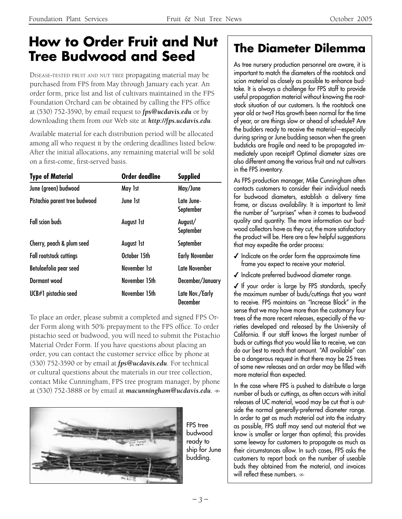### **How to Order Fruit and Nut Tree Budwood and Seed The Diameter Dilemma**

DISEASE-TESTED FRUIT AND NUT TREE propagating material may be purchased from FPS from May through January each year. An order form, price list and list of cultivars maintained in the FPS Foundation Orchard can be obtained by calling the FPS office at (530) 752-3590, by email request to *fps@ucdavis.edu* or by downloading them from our Web site at *http://fps.ucdavis.edu*.

Available material for each distribution period will be allocated among all who request it by the ordering deadlines listed below. After the initial allocations, any remaining material will be sold on a first-come, first-served basis.

| <b>Type of Material</b>        | <b>Order deadline</b> | <b>Supplied</b>                    |  |  |
|--------------------------------|-----------------------|------------------------------------|--|--|
| June (green) budwood           | May 1st               | May/June                           |  |  |
| Pistachio parent tree budwood  | June 1st              | Late June-<br>September            |  |  |
| <b>Fall scion buds</b>         | <b>August 1st</b>     | August/<br>September               |  |  |
| Cherry, peach & plum seed      | <b>August 1st</b>     | September                          |  |  |
| <b>Fall rootstock cuttings</b> | October 15th          | <b>Early November</b>              |  |  |
| Betulaefolia pear seed         | November 1st          | Late November                      |  |  |
| Dormant wood                   | November 15th         | December/January                   |  |  |
| UCB#1 pistachio seed           | November 15th         | Late Nov./Early<br><b>December</b> |  |  |

To place an order, please submit a completed and signed FPS Order Form along with 50% prepayment to the FPS office. To order pistachio seed or budwood, you will need to submit the Pistachio Material Order Form. If you have questions about placing an order, you can contact the customer service office by phone at (530) 752-3590 or by email at *fps@ucdavis.edu*. For technical or cultural questions about the materials in our tree collection, contact Mike Cunningham, FPS tree program manager, by phone at (530) 752-3888 or by email at *macunningham@ucdavis.edu.* 



FPS tree budwood ready to ship for June budding.

As tree nursery production personnel are aware, it is important to match the diameters of the rootstock and scion material as closely as possible to enhance budtake. It is always a challenge for FPS staff to provide useful propagation material without knowing the rootstock situation of our customers. Is the rootstock one year old or two? Has growth been normal for the time of year, or are things slow or ahead of schedule? Are the budders ready to receive the material—especially during spring or June budding season when the green budsticks are fragile and need to be propagated immediately upon receipt? Optimal diameter sizes are also different among the various fruit and nut cultivars in the FPS inventory.

As FPS production manager, Mike Cunningham often contacts customers to consider their individual needs for budwood diameters, establish a delivery time frame, or discuss availability. It is important to limit the number of "surprises" when it comes to budwood quality and quantity. The more information our budwood collectors have as they cut, the more satisfactory the product will be. Here are a few helpful suggestions that may expedite the order process:

- $\checkmark$  Indicate on the order form the approximate time frame you expect to receive your material.
- $I$  Indicate preferred budwood diameter range.

◆ If your order is large by FPS standards, specify the maximum number of buds/cuttings that you want to receive. FPS maintains an "Increase Block" in the sense that we may have more than the customary four trees of the more recent releases, especially of the varieties developed and released by the University of California. If our staff knows the largest number of buds or cuttings that you would like to receive, we can do our best to reach that amount. "All available" can be a dangerous request in that there may be 25 trees of some new releases and an order may be filled with more material than expected.

In the case where FPS is pushed to distribute a large number of buds or cuttings, as often occurs with initial releases of UC material, wood may be cut that is outside the normal generally-preferred diameter range. In order to get as much material out into the industry as possible, FPS staff may send out material that we know is smaller or larger than optimal; this provides some leeway for customers to propagate as much as their circumstances allow. In such cases, FPS asks the customers to report back on the number of useable buds they obtained from the material, and invoices will reflect these numbers.  $\infty$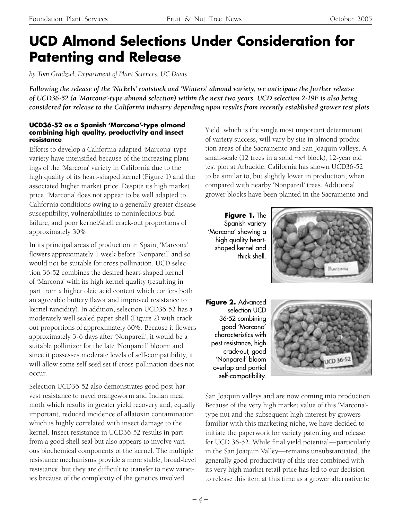### **UCD Almond Selections Under Consideration for Patenting and Release**

*by Tom Gradziel, Department of Plant Sciences, UC Davis*

*Following the release of the 'Nickels' rootstock and 'Winters' almond variety, we anticipate the further release of UCD36-52 (a 'Marcona'-type almond selection) within the next two years. UCD selection 2-19E is also being considered for release to the California industry depending upon results from recently established grower test plots.*

#### **UCD36-52 as a Spanish 'Marcona'-type almond combining high quality, productivity and insect resistance**

Efforts to develop a California-adapted 'Marcona'-type variety have intensified because of the increasing plantings of the 'Marcona' variety in California due to the high quality of its heart-shaped kernel (Figure 1) and the associated higher market price. Despite its high market price, 'Marcona' does not appear to be well adapted to California conditions owing to a generally greater disease susceptibility, vulnerabilities to noninfectious bud failure, and poor kernel/shell crack-out proportions of approximately 30%.

In its principal areas of production in Spain, 'Marcona' flowers approximately 1 week before 'Nonpareil' and so would not be suitable for cross pollination. UCD selection 36-52 combines the desired heart-shaped kernel of 'Marcona' with its high kernel quality (resulting in part from a higher oleic acid content which confers both an agreeable buttery flavor and improved resistance to kernel rancidity). In addition, selection UCD36-52 has a moderately well sealed paper shell (Figure 2) with crackout proportions of approximately 60%. Because it flowers approximately 3-6 days after 'Nonpareil', it would be a suitable pollinizer for the late 'Nonpareil' bloom; and since it possesses moderate levels of self-compatibility, it will allow some self seed set if cross-pollination does not occur.

Selection UCD36-52 also demonstrates good post-harvest resistance to navel orangeworm and Indian meal moth which results in greater yield recovery and, equally important, reduced incidence of aflatoxin contamination which is highly correlated with insect damage to the kernel. Insect resistance in UCD36-52 results in part from a good shell seal but also appears to involve various biochemical components of the kernel. The multiple resistance mechanisms provide a more stable, broad-level resistance, but they are difficult to transfer to new varieties because of the complexity of the genetics involved.

Yield, which is the single most important determinant of variety success, will vary by site in almond production areas of the Sacramento and San Joaquin valleys. A small-scale (12 trees in a solid 4x4 block), 12-year old test plot at Arbuckle, California has shown UCD36-52 to be similar to, but slightly lower in production, when compared with nearby 'Nonpareil' trees. Additional grower blocks have been planted in the Sacramento and

**Figure 1.** The Spanish variety 'Marcona' showing a high quality heartshaped kernel and thick shell.



**Figure 2.** Advanced selection UCD 36-52 combining good 'Marcona' characteristics with pest resistance, high crack-out, good 'Nonpareil' bloom overlap and partial self-compatibility.



San Joaquin valleys and are now coming into production. Because of the very high market value of this 'Marcona' type nut and the subsequent high interest by growers familiar with this marketing niche, we have decided to initiate the paperwork for variety patenting and release for UCD 36-52. While final yield potential—particularly in the San Joaquin Valley—remains unsubstantiated, the generally good productivity of this tree combined with its very high market retail price has led to our decision to release this item at this time as a grower alternative to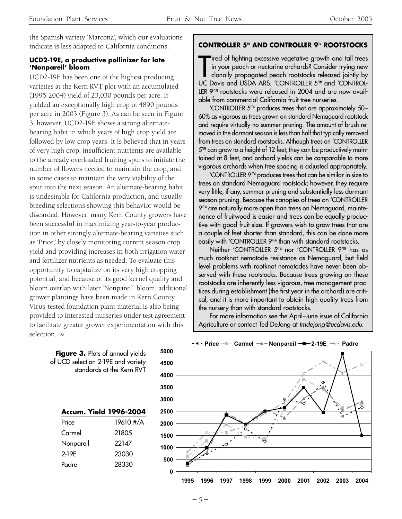the Spanish variety 'Marcona', which our evaluations indicate is less adapted to California conditions.

#### **UCD2-19E, a productive pollinizer for late 'Nonpareil' bloom**

UCD2-19E has been one of the highest producing varieties at the Kern RVT plot with an accumulated (1995-2004) yield of 23,030 pounds per acre. It yielded an exceptionally high crop of 4890 pounds per acre in 2003 (Figure 3). As can be seen in Figure 3, however, UCD2-19E shows a strong alternatebearing habit in which years of high crop yield are followed by low crop years. It is believed that in years of very high crop, insufficient nutrients are available to the already overloaded fruiting spurs to initiate the number of flowers needed to maintain the crop, and in some cases to maintain the very viability of the spur into the next season. An alternate-bearing habit is undesirable for California production, and usually breeding selections showing this behavior would be discarded. However, many Kern County growers have been successful in maximizing year-to-year production in other strongly alternate-bearing varieties such as 'Price,' by closely monitoring current season crop yield and providing increases in both irrigation water and fertilizer nutrients as needed. To evaluate this opportunity to capitalize on its very high cropping potential, and because of its good kernel quality and bloom overlap with later 'Nonpareil' bloom, additional grower plantings have been made in Kern County. Virus-tested foundation plant material is also being provided to interested nurseries under test agreement to facilitate greater grower experimentation with this selection.

#### **CONTROLLER 5**TM **AND CONTROLLER 9**TM **ROOTSTOCKS**

Tired of fighting excessive vegetative growth and tall trees<br>in your peach or nectarine orchards? Consider trying new<br>clonally propagated peach rootstocks released jointly by<br>UC Davis and USDA ARS. 'CONTROLLER 5<sup>TM</sup> and 'C ired of fighting excessive vegetative growth and tall trees in your peach or nectarine orchards? Consider trying new clonally propagated peach rootstocks released jointly by LER 9<sup>TM</sup> rootstocks were released in 2004 and are now available from commercial California fruit tree nurseries.

 'CONTROLLER 5'TM produces trees that are approximately 50– 60% as vigorous as trees grown on standard Nemaguard rootstock and require virtually no summer pruning. The amount of brush removed in the dormant season is less than half that typically removed from trees on standard rootstocks. Although trees on 'CONTROLLER  $5<sup>TM</sup>$  can grow to a height of 12 feet, they can be productively maintained at 8 feet, and orchard yields can be comparable to more vigorous orchards when tree spacing is adjusted appropriately.

'CONTROLLER 9'TM produces trees that can be similar in size to trees on standard Nemaguard rootstock; however, they require very little, if any, summer pruning and substantially less dormant season pruning. Because the canopies of trees on 'CONTROLLER 9<sup>TM</sup> are naturally more open than trees on Nemaguard, maintenance of fruitwood is easier and trees can be equally productive with good fruit size. If growers wish to grow trees that are a couple of feet shorter than standard, this can be done more easily with 'CONTROLLER 9'TM than with standard rootstocks.

Neither 'CONTROLLER 5<sup>™</sup> nor 'CONTROLLER 9<sup>™</sup> has as much rootknot nematode resistance as Nemaguard, but field level problems with rootknot nematodes have never been observed with these rootstocks. Because trees growing on these rootstocks are inherently less vigorous, tree management practices during establishment (the first year in the orchard) are critical, and it is more important to obtain high quality trees from the nursery than with standard rootstocks.

For more information see the April–June issue of California Agriculture or contact Ted DeJong at tmdejong@ucdavis.edu.

|                               |           | 350 |  |  |  |
|-------------------------------|-----------|-----|--|--|--|
|                               |           | 300 |  |  |  |
| <b>Accum. Yield 1996-2004</b> |           |     |  |  |  |
| Price                         | 19610 #/A | 200 |  |  |  |
| Carmel                        | 21805     | 150 |  |  |  |
| Nonpareil                     | 22147     | 100 |  |  |  |
| 2-19E                         | 23030     |     |  |  |  |
| Padre                         | 28330     | 50  |  |  |  |



#### **Figure 3. Plots of annual yields** of UCD selection 2-19E and variety standards at the Kern RVT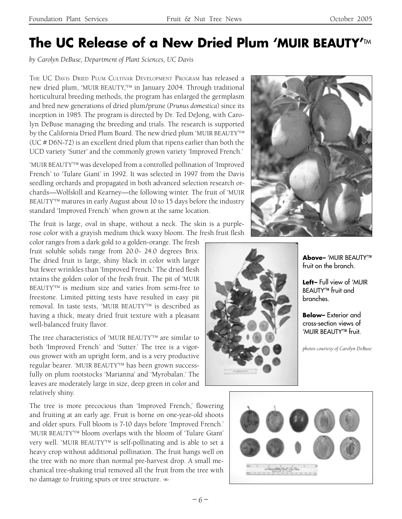### **The UC Release of a New Dried Plum 'MUIR BEAUTY'M**

*by Carolyn DeBuse, Department of Plant Sciences, UC Davis*

THE UC DAVIS DRIED PLUM CULTIVAR DEVELOPMENT PROGRAM has released a new dried plum, 'MUIR BEAUTY,'TM in January 2004. Through traditional horticultural breeding methods, the program has enlarged the germplasm and bred new generations of dried plum/prune (*Prunus domestica*) since its inception in 1985. The program is directed by Dr. Ted DeJong, with Carolyn DeBuse managing the breeding and trials. The research is supported by the California Dried Plum Board. The new dried plum 'MUIR BEAUTY'™ (UC # D6N-72) is an excellent dried plum that ripens earlier than both the UCD variety 'Sutter' and the commonly grown variety 'Improved French.'

'MUIR BEAUTY<sup>'TM</sup> was developed from a controlled pollination of 'Improved French' to 'Tulare Giant' in 1992. It was selected in 1997 from the Davis seedling orchards and propagated in both advanced selection research orchards—Wolfskill and Kearney—the following winter. The fruit of 'MUIR BEAUTY $T^{M}$  matures in early August about 10 to 15 days before the industry standard 'Improved French' when grown at the same location.

The fruit is large, oval in shape, without a neck. The skin is a purplerose color with a grayish medium thick waxy bloom. The fresh fruit flesh

color ranges from a dark gold to a golden-orange. The fresh fruit soluble solids range from 20.0- 24.0 degrees Brix. The dried fruit is large, shiny black in color with larger but fewer wrinkles than 'Improved French.' The dried flesh retains the golden color of the fresh fruit. The pit of 'MUIR BEAUTY' TM is medium size and varies from semi-free to freestone. Limited pitting tests have resulted in easy pit removal. In taste tests, 'MUIR BEAUTY<sup>™</sup> is described as having a thick, meaty dried fruit texture with a pleasant well-balanced fruity flavor.

The tree characteristics of 'MUIR BEAUTY' TM are similar to both 'Improved French' and 'Sutter.' The tree is a vigorous grower with an upright form, and is a very productive regular bearer. 'MUIR BEAUTY<sup>™</sup> has been grown successfully on plum rootstocks 'Marianna' and 'Myrobalan.' The leaves are moderately large in size, deep green in color and relatively shiny.

The tree is more precocious than 'Improved French,' flowering and fruiting at an early age. Fruit is borne on one-year-old shoots and older spurs. Full bloom is 7-10 days before 'Improved French.' 'MUIR BEAUTY' TM bloom overlaps with the bloom of 'Tulare Giant' very well. 'MUIR BEAUTY' TM is self-pollinating and is able to set a heavy crop without additional pollination. The fruit hangs well on the tree with no more than normal pre-harvest drop. A small mechanical tree-shaking trial removed all the fruit from the tree with no damage to fruiting spurs or tree structure.





**Above–** 'MUIR BEAUTY' TM fruit on the branch.

**Left–** Full view of 'MUIR BEAUTY′™ fruit and branches.

**Below–** Exterior and cross-section views of 'MUIR BEAUTY<sup>'™</sup> fruit.

*photos courtesy of Carolyn DeBuse*

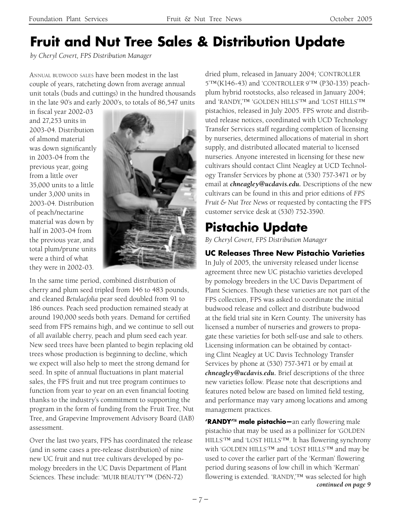# **Fruit and Nut Tree Sales & Distribution Update**

*by Cheryl Covert, FPS Distribution Manager*

ANNUAL BUDWOOD SALES have been modest in the last couple of years, ratcheting down from average annual unit totals (buds and cuttings) in the hundred thousands in the late 90's and early 2000's, to totals of 86,547 units

in fiscal year 2002-03 and 27,253 units in 2003-04. Distribution of almond material was down significantly in 2003-04 from the previous year, going from a little over 35,000 units to a little under 3,000 units in 2003-04. Distribution of peach/nectarine material was down by half in 2003-04 from the previous year, and total plum/prune units were a third of what they were in 2002-03.



In the same time period, combined distribution of cherry and plum seed tripled from 146 to 483 pounds, and cleaned *Betulaefolia* pear seed doubled from 91 to 186 ounces. Peach seed production remained steady at around 190,000 seeds both years. Demand for certified seed from FPS remains high, and we continue to sell out of all available cherry, peach and plum seed each year. New seed trees have been planted to begin replacing old trees whose production is beginning to decline, which we expect will also help to meet the strong demand for seed. In spite of annual fluctuations in plant material sales, the FPS fruit and nut tree program continues to function from year to year on an even financial footing thanks to the industry's commitment to supporting the program in the form of funding from the Fruit Tree, Nut Tree, and Grapevine Improvement Advisory Board (IAB) assessment.

Over the last two years, FPS has coordinated the release (and in some cases a pre-release distribution) of nine new UC fruit and nut tree cultivars developed by pomology breeders in the UC Davis Department of Plant Sciences. These include: 'MUIR BEAUTY'<sup>IM</sup> (D6N-72)

dried plum, released in January 2004; 'CONTROLLER 5'™(K146-43) and 'CONTROLLER 9'™ (P30-135) peachplum hybrid rootstocks, also released in January 2004; and 'RANDY,'™ 'GOLDEN HILLS'™ and 'LOST HILLS'™ pistachios, released in July 2005. FPS wrote and distributed release notices, coordinated with UCD Technology Transfer Services staff regarding completion of licensing by nurseries, determined allocations of material in short supply, and distributed allocated material to licensed nurseries. Anyone interested in licensing for these new cultivars should contact Clint Neagley at UCD Technology Transfer Services by phone at (530) 757-3471 or by email at *chneagley@ucdavis.edu.* Descriptions of the new cultivars can be found in this and prior editions of *FPS Fruit & Nut Tree News* or requested by contacting the FPS customer service desk at (530) 752-3590.

## **Pistachio Update**

*By Cheryl Covert, FPS Distribution Manager*

### **UC Releases Three New Pistachio Varieties**

In July of 2005, the university released under license agreement three new UC pistachio varieties developed by pomology breeders in the UC Davis Department of Plant Sciences. Though these varieties are not part of the FPS collection, FPS was asked to coordinate the initial budwood release and collect and distribute budwood at the field trial site in Kern County. The university has licensed a number of nurseries and growers to propagate these varieties for both self-use and sale to others. Licensing information can be obtained by contacting Clint Neagley at UC Davis Technology Transfer Services by phone at (530) 757-3471 or by email at *chneagley@ucdavis.edu.* Brief descriptions of the three new varieties follow. Please note that descriptions and features noted below are based on limited field testing, and performance may vary among locations and among management practices.

**'RANDY<sup>™</sup> male pistachio**—an early flowering male pistachio that may be used as a pollinizer for 'GOLDEN HILLS'™ and 'LOST HILLS'™. It has flowering synchrony with 'GOLDEN HILLS'™ and 'LOST HILLS'™ and may be used to cover the earlier part of the 'Kerman' flowering period during seasons of low chill in which 'Kerman' flowering is extended. 'RANDY,'™ was selected for high *continued on page 9*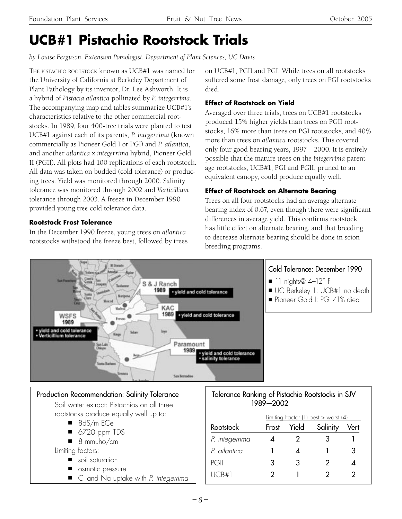# **UCB#1 Pistachio Rootstock Trials**

*by Louise Ferguson, Extension Pomologist, Department of Plant Sciences, UC Davis*

THE PISTACHIO ROOTSTOCK known as UCB#1 was named for the University of California at Berkeley Department of Plant Pathology by its inventor, Dr. Lee Ashworth. It is a hybrid of *Pistacia atlantica* pollinated by *P. integerrima*. The accompanying map and tables summarize UCB#1's characteristics relative to the other commercial rootstocks. In 1989, four 400-tree trials were planted to test UCB#1 against each of its parents, *P. integerrima* (known commercially as Pioneer Gold I or PGI) and *P. atlantica*, and another *atlantica* x *integerrima* hybrid, Pioneer Gold II (PGII). All plots had 100 replications of each rootstock. All data was taken on budded (cold tolerance) or producing trees. Yield was monitored through 2000. Salinity tolerance was monitored through 2002 and *Verticillium* tolerance through 2003. A freeze in December 1990 provided young tree cold tolerance data.

#### **Rootstock Frost Tolerance**

In the December 1990 freeze, young trees on *atlantica* rootstocks withstood the freeze best, followed by trees on UCB#1, PGII and PGI. While trees on all rootstocks suffered some frost damage, only trees on PGI rootstocks died.

#### **Effect of Rootstock on Yield**

Averaged over three trials, trees on UCB#1 rootstocks produced 15% higher yields than trees on PGII rootstocks, 16% more than trees on PGI rootstocks, and 40% more than trees on *atlantica* rootstocks. This covered only four good bearing years, 1997—2000. It is entirely possible that the mature trees on the *integerrima* parentage rootstocks, UCB#1, PGI and PGII, pruned to an equivalent canopy, could produce equally well.

### **Effect of Rootstock on Alternate Bearing**

Trees on all four rootstocks had an average alternate bearing index of 0.67, even though there were significant differences in average yield. This confirms rootstock has little effect on alternate bearing, and that breeding to decrease alternate bearing should be done in scion breeding programs.

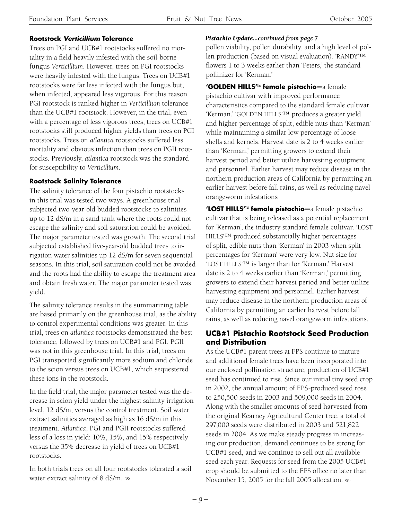Trees on PGI and UCB#1 rootstocks suffered no mortality in a field heavily infested with the soil-borne fungus *Verticillium*. However, trees on PGI rootstocks were heavily infested with the fungus. Trees on UCB#1 rootstocks were far less infected with the fungus but, when infected, appeared less vigorous. For this reason PGI rootstock is ranked higher in *Verticillium* tolerance than the UCB#1 rootstock. However, in the trial, even with a percentage of less vigorous trees, trees on UCB#1 rootstocks still produced higher yields than trees on PGI rootstocks. Trees on *atlantica* rootstocks suffered less mortality and obvious infection than trees on PGII rootstocks. Previously, *atlantica* rootstock was the standard for susceptibility to *Verticillium*.

#### **Rootstock Salinity Tolerance**

The salinity tolerance of the four pistachio rootstocks in this trial was tested two ways. A greenhouse trial subjected two-year-old budded rootstocks to salinities up to 12 dS/m in a sand tank where the roots could not escape the salinity and soil saturation could be avoided. The major parameter tested was growth. The second trial subjected established five-year-old budded trees to irrigation water salinities up 12 dS/m for seven sequential seasons. In this trial, soil saturation could not be avoided and the roots had the ability to escape the treatment area and obtain fresh water. The major parameter tested was yield.

The salinity tolerance results in the summarizing table are based primarily on the greenhouse trial, as the ability to control experimental conditions was greater. In this trial, trees on *atlantica* rootstocks demonstrated the best tolerance, followed by trees on UCB#1 and PGI. PGII was not in this greenhouse trial. In this trial, trees on PGI transported significantly more sodium and chloride to the scion versus trees on UCB#1, which sequestered these ions in the rootstock.

In the field trial, the major parameter tested was the decrease in scion yield under the highest salinity irrigation level, 12 dS/m, versus the control treatment. Soil water extract salinities averaged as high as 16 dS/m in this treatment. *Atlantica*, PGI and PGII rootstocks suffered less of a loss in yield: 10%, 15%, and 15% respectively versus the 35% decrease in yield of trees on UCB#1 rootstocks.

In both trials trees on all four rootstocks tolerated a soil water extract salinity of 8 dS/m.

#### **Rootstock Verticillium Tolerance** *Pistachio Update...continued from page 7*

pollen viability, pollen durability, and a high level of pollen production (based on visual evaluation). 'RANDY'™ flowers 1 to 3 weeks earlier than 'Peters,' the standard pollinizer for 'Kerman.'

**'GOLDEN HILLS'**TM **female pistachio—**a female pistachio cultivar with improved performance characteristics compared to the standard female cultivar 'Kerman.' 'GOLDEN HILLS'™ produces a greater yield and higher percentage of split, edible nuts than 'Kerman' while maintaining a similar low percentage of loose shells and kernels. Harvest date is 2 to 4 weeks earlier than 'Kerman,' permitting growers to extend their harvest period and better utilize harvesting equipment and personnel. Earlier harvest may reduce disease in the northern production areas of California by permitting an earlier harvest before fall rains, as well as reducing navel orangeworm infestations

**'LOST HILLS'**TM **female pistachio—**a female pistachio cultivar that is being released as a potential replacement for 'Kerman', the industry standard female cultivar. 'LOST HILLS'™ produced substantially higher percentages of split, edible nuts than 'Kerman' in 2003 when split percentages for 'Kerman' were very low. Nut size for 'LOST HILLS'™ is larger than for 'Kerman.' Harvest date is 2 to 4 weeks earlier than 'Kerman,' permitting growers to extend their harvest period and better utilize harvesting equipment and personnel. Earlier harvest may reduce disease in the northern production areas of California by permitting an earlier harvest before fall rains, as well as reducing navel orangeworm infestations.

#### **UCB#1 Pistachio Rootstock Seed Production and Distribution**

As the UCB#1 parent trees at FPS continue to mature and additional female trees have been incorporated into our enclosed pollination structure, production of UCB#1 seed has continued to rise. Since our initial tiny seed crop in 2002, the annual amount of FPS-produced seed rose to 250,500 seeds in 2003 and 509,000 seeds in 2004. Along with the smaller amounts of seed harvested from the original Kearney Agricultural Center tree, a total of 297,000 seeds were distributed in 2003 and 521,822 seeds in 2004. As we make steady progress in increasing our production, demand continues to be strong for UCB#1 seed, and we continue to sell out all available seed each year. Requests for seed from the 2005 UCB#1 crop should be submitted to the FPS office no later than November 15, 2005 for the fall 2005 allocation.  $\infty$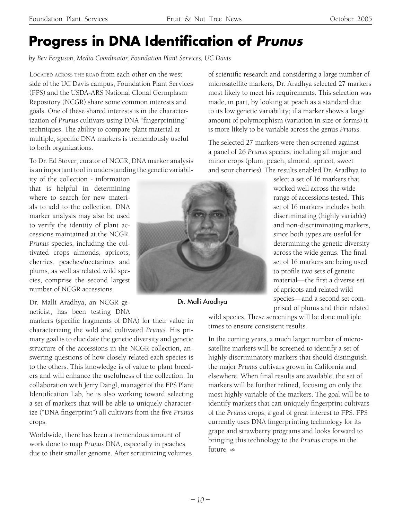# **Progress in DNA Identification of Prunus**

*by Bev Ferguson, Media Coordinator, Foundation Plant Services, UC Davis*

LOCATED ACROSS THE ROAD from each other on the west side of the UC Davis campus, Foundation Plant Services (FPS) and the USDA-ARS National Clonal Germplasm Repository (NCGR) share some common interests and goals. One of these shared interests is in the characterization of *Prunus* cultivars using DNA "fingerprinting" techniques. The ability to compare plant material at multiple, specific DNA markers is tremendously useful to both organizations.

To Dr. Ed Stover, curator of NCGR, DNA marker analysis is an important tool in understanding the genetic variabil-

ity of the collection - information that is helpful in determining where to search for new materials to add to the collection. DNA marker analysis may also be used to verify the identity of plant accessions maintained at the NCGR. *Prunus* species, including the cultivated crops almonds, apricots, cherries, peaches/nectarines and plums, as well as related wild species, comprise the second largest number of NCGR accessions.

Dr. Malli Aradhya, an NCGR geneticist, has been testing DNA

markers (specific fragments of DNA) for their value in characterizing the wild and cultivated *Prunus*. His primary goal is to elucidate the genetic diversity and genetic structure of the accessions in the NCGR collection, answering questions of how closely related each species is to the others. This knowledge is of value to plant breeders and will enhance the usefulness of the collection. In collaboration with Jerry Dangl, manager of the FPS Plant Identification Lab, he is also working toward selecting a set of markers that will be able to uniquely characterize ("DNA fingerprint") all cultivars from the five *Prunus*  crops.

Worldwide, there has been a tremendous amount of work done to map *Prunus* DNA, especially in peaches due to their smaller genome. After scrutinizing volumes



Dr. Malli Aradhya

of scientific research and considering a large number of microsatellite markers, Dr. Aradhya selected 27 markers most likely to meet his requirements. This selection was made, in part, by looking at peach as a standard due to its low genetic variability; if a marker shows a large amount of polymorphism (variation in size or forms) it is more likely to be variable across the genus *Prunus*.

The selected 27 markers were then screened against a panel of 26 *Prunus* species, including all major and minor crops (plum, peach, almond, apricot, sweet and sour cherries). The results enabled Dr. Aradhya to

> select a set of 16 markers that worked well across the wide range of accessions tested. This set of 16 markers includes both discriminating (highly variable) and non-discriminating markers, since both types are useful for determining the genetic diversity across the wide genus. The final set of 16 markers are being used to profile two sets of genetic material—the first a diverse set of apricots and related wild species—and a second set comprised of plums and their related

wild species. These screenings will be done multiple times to ensure consistent results.

In the coming years, a much larger number of microsatellite markers will be screened to identify a set of highly discriminatory markers that should distinguish the major *Prunus* cultivars grown in California and elsewhere. When final results are available, the set of markers will be further refined, focusing on only the most highly variable of the markers. The goal will be to identify markers that can uniquely fingerprint cultivars of the *Prunus* crops; a goal of great interest to FPS. FPS currently uses DNA fingerprinting technology for its grape and strawberry programs and looks forward to bringing this technology to the *Prunus* crops in the future.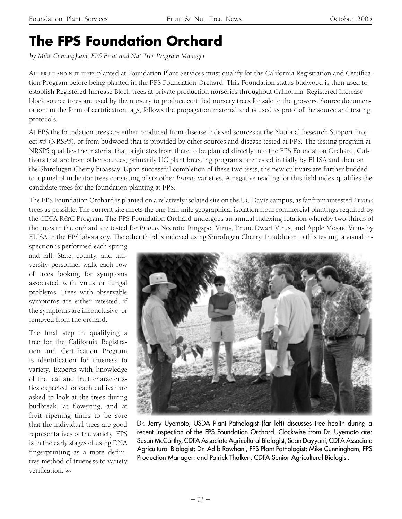## **The FPS Foundation Orchard**

*by Mike Cunningham, FPS Fruit and Nut Tree Program Manager*

ALL FRUIT AND NUT TREES planted at Foundation Plant Services must qualify for the California Registration and Certification Program before being planted in the FPS Foundation Orchard. This Foundation status budwood is then used to establish Registered Increase Block trees at private production nurseries throughout California. Registered Increase block source trees are used by the nursery to produce certified nursery trees for sale to the growers. Source documentation, in the form of certification tags, follows the propagation material and is used as proof of the source and testing protocols.

At FPS the foundation trees are either produced from disease indexed sources at the National Research Support Project #5 (NRSP5), or from budwood that is provided by other sources and disease tested at FPS. The testing program at NRSP5 qualifies the material that originates from there to be planted directly into the FPS Foundation Orchard. Cultivars that are from other sources, primarily UC plant breeding programs, are tested initially by ELISA and then on the Shirofugen Cherry bioassay. Upon successful completion of these two tests, the new cultivars are further budded to a panel of indicator trees consisting of six other *Prunus* varieties. A negative reading for this field index qualifies the candidate trees for the foundation planting at FPS.

The FPS Foundation Orchard is planted on a relatively isolated site on the UC Davis campus, as far from untested *Prunus* trees as possible. The current site meets the one-half mile geographical isolation from commercial plantings required by the CDFA R&C Program. The FPS Foundation Orchard undergoes an annual indexing rotation whereby two-thirds of the trees in the orchard are tested for *Prunus* Necrotic Ringspot Virus, Prune Dwarf Virus, and Apple Mosaic Virus by ELISA in the FPS laboratory. The other third is indexed using Shirofugen Cherry. In addition to this testing, a visual in-

spection is performed each spring and fall. State, county, and university personnel walk each row of trees looking for symptoms associated with virus or fungal problems. Trees with observable symptoms are either retested, if the symptoms are inconclusive, or removed from the orchard.

The final step in qualifying a tree for the California Registration and Certification Program is identification for trueness to variety. Experts with knowledge of the leaf and fruit characteristics expected for each cultivar are asked to look at the trees during budbreak, at flowering, and at fruit ripening times to be sure that the individual trees are good representatives of the variety. FPS is in the early stages of using DNA fingerprinting as a more definitive method of trueness to variety verification  $\infty$ 



Dr. Jerry Uyemoto, USDA Plant Pathologist (far left) discusses tree health during a recent inspection of the FPS Foundation Orchard. Clockwise from Dr. Uyemoto are: Susan McCarthy, CDFA Associate Agricultural Biologist; Sean Dayyani, CDFA Associate Agricultural Biologist; Dr. Adib Rowhani, FPS Plant Pathologist; Mike Cunningham, FPS Production Manager; and Patrick Thalken, CDFA Senior Agricultural Biologist.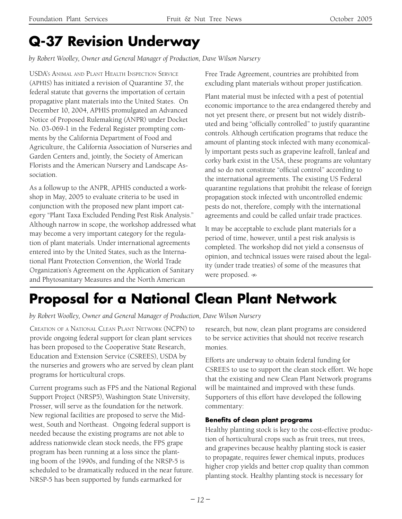# **Q-37 Revision Underway**

*by Robert Woolley, Owner and General Manager of Production, Dave Wilson Nursery*

USDA'S ANIMAL AND PLANT HEALTH INSPECTION SERVICE (APHIS) has initiated a revision of Quarantine 37, the federal statute that governs the importation of certain propagative plant materials into the United States. On December 10, 2004, APHIS promulgated an Advanced Notice of Proposed Rulemaking (ANPR) under Docket No. 03-069-1 in the Federal Register prompting comments by the California Department of Food and Agriculture, the California Association of Nurseries and Garden Centers and, jointly, the Society of American Florists and the American Nursery and Landscape Association.

As a followup to the ANPR, APHIS conducted a workshop in May, 2005 to evaluate criteria to be used in conjunction with the proposed new plant import category "Plant Taxa Excluded Pending Pest Risk Analysis." Although narrow in scope, the workshop addressed what may become a very important category for the regulation of plant materials. Under international agreements entered into by the United States, such as the International Plant Protection Convention, the World Trade Organization's Agreement on the Application of Sanitary and Phytosanitary Measures and the North American

Free Trade Agreement, countries are prohibited from excluding plant materials without proper justification.

Plant material must be infected with a pest of potential economic importance to the area endangered thereby and not yet present there, or present but not widely distributed and being "officially controlled" to justify quarantine controls. Although certification programs that reduce the amount of planting stock infected with many economically important pests such as grapevine leafroll, fanleaf and corky bark exist in the USA, these programs are voluntary and so do not constitute "official control" according to the international agreements. The existing US Federal quarantine regulations that prohibit the release of foreign propagation stock infected with uncontrolled endemic pests do not, therefore, comply with the international agreements and could be called unfair trade practices.

It may be acceptable to exclude plant materials for a period of time, however, until a pest risk analysis is completed. The workshop did not yield a consensus of opinion, and technical issues were raised about the legality (under trade treaties) of some of the measures that were proposed.  $\infty$ 

# **Proposal for a National Clean Plant Network**

*by Robert Woolley, Owner and General Manager of Production, Dave Wilson Nursery*

CREATION OF A NATIONAL CLEAN PLANT NETWORK (NCPN) to provide ongoing federal support for clean plant services has been proposed to the Cooperative State Research, Education and Extension Service (CSREES), USDA by the nurseries and growers who are served by clean plant programs for horticultural crops.

Current programs such as FPS and the National Regional Support Project (NRSP5), Washington State University, Prosser, will serve as the foundation for the network. New regional facilities are proposed to serve the Midwest, South and Northeast. Ongoing federal support is needed because the existing programs are not able to address nationwide clean stock needs, the FPS grape program has been running at a loss since the planting boom of the 1990s, and funding of the NRSP-5 is scheduled to be dramatically reduced in the near future. NRSP-5 has been supported by funds earmarked for

research, but now, clean plant programs are considered to be service activities that should not receive research monies.

Efforts are underway to obtain federal funding for CSREES to use to support the clean stock effort. We hope that the existing and new Clean Plant Network programs will be maintained and improved with these funds. Supporters of this effort have developed the following commentary:

### **Benefits of clean plant programs**

Healthy planting stock is key to the cost-effective production of horticultural crops such as fruit trees, nut trees, and grapevines because healthy planting stock is easier to propagate, requires fewer chemical inputs, produces higher crop yields and better crop quality than common planting stock. Healthy planting stock is necessary for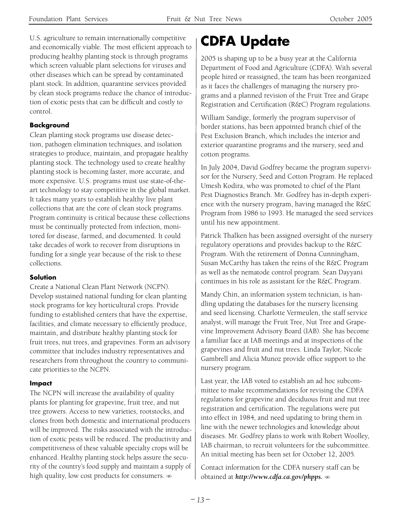U.S. agriculture to remain internationally competitive and economically viable. The most efficient approach to producing healthy planting stock is through programs which screen valuable plant selections for viruses and other diseases which can be spread by contaminated plant stock. In addition, quarantine services provided by clean stock programs reduce the chance of introduction of exotic pests that can be difficult and costly to control.

#### **Background**

Clean planting stock programs use disease detection, pathogen elimination techniques, and isolation strategies to produce, maintain, and propagate healthy planting stock. The technology used to create healthy planting stock is becoming faster, more accurate, and more expensive. U.S. programs must use state-of-theart technology to stay competitive in the global market. It takes many years to establish healthy live plant collections that are the core of clean stock programs. Program continuity is critical because these collections must be continually protected from infection, monitored for disease, farmed, and documented. It could take decades of work to recover from disruptions in funding for a single year because of the risk to these collections.

#### **Solution**

Create a National Clean Plant Network (NCPN). Develop sustained national funding for clean planting stock programs for key horticultural crops. Provide funding to established centers that have the expertise, facilities, and climate necessary to efficiently produce, maintain, and distribute healthy planting stock for fruit trees, nut trees, and grapevines. Form an advisory committee that includes industry representatives and researchers from throughout the country to communicate priorities to the NCPN.

#### **Impact**

The NCPN will increase the availability of quality plants for planting for grapevine, fruit tree, and nut tree growers. Access to new varieties, rootstocks, and clones from both domestic and international producers will be improved. The risks associated with the introduction of exotic pests will be reduced. The productivity and competitiveness of these valuable specialty crops will be enhanced. Healthy planting stock helps assure the security of the country's food supply and maintain a supply of high quality, low cost products for consumers.  $\infty$ 

# **CDFA Update**

2005 is shaping up to be a busy year at the California Department of Food and Agriculture (CDFA). With several people hired or reassigned, the team has been reorganized as it faces the challenges of managing the nursery programs and a planned revision of the Fruit Tree and Grape Registration and Certification (R&C) Program regulations.

William Sandige, formerly the program supervisor of border stations, has been appointed branch chief of the Pest Exclusion Branch, which includes the interior and exterior quarantine programs and the nursery, seed and cotton programs.

In July 2004, David Godfrey became the program supervisor for the Nursery, Seed and Cotton Program. He replaced Umesh Kodira, who was promoted to chief of the Plant Pest Diagnostics Branch. Mr. Godfrey has in-depth experience with the nursery program, having managed the R&C Program from 1986 to 1993. He managed the seed services until his new appointment.

Patrick Thalken has been assigned oversight of the nursery regulatory operations and provides backup to the R&C Program. With the retirement of Donna Cunningham, Susan McCarthy has taken the reins of the R&C Program as well as the nematode control program. Sean Dayyani continues in his role as assistant for the R&C Program.

Mandy Chin, an information system technician, is handling updating the databases for the nursery licensing and seed licensing. Charlotte Vermeulen, the staff service analyst, will manage the Fruit Tree, Nut Tree and Grapevine Improvement Advisory Board (IAB). She has become a familiar face at IAB meetings and at inspections of the grapevines and fruit and nut trees. Linda Taylor, Nicole Gambrell and Alicia Munoz provide office support to the nursery program.

Last year, the IAB voted to establish an ad hoc subcommittee to make recommendations for revising the CDFA regulations for grapevine and deciduous fruit and nut tree registration and certification. The regulations were put into effect in 1984, and need updating to bring them in line with the newer technologies and knowledge about diseases. Mr. Godfrey plans to work with Robert Woolley, IAB chairman, to recruit volunteers for the subcommittee. An initial meeting has been set for October 12, 2005.

Contact information for the CDFA nursery staff can be obtained at *http://www.cdfa.ca.gov/phpps.*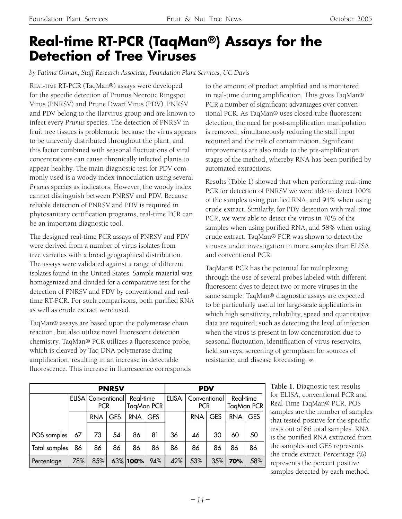### **Real-time RT-PCR (TaqMan®) Assays for the Detection of Tree Viruses**

*by Fatima Osman, Staff Research Associate, Foundation Plant Services, UC Davis*

REAL-TIME RT-PCR (TaqMan®) assays were developed for the specific detection of Prunus Necrotic Ringspot Virus (PNRSV) and Prune Dwarf Virus (PDV). PNRSV and PDV belong to the Ilarvirus group and are known to infect every *Prunus* species. The detection of PNRSV in fruit tree tissues is problematic because the virus appears to be unevenly distributed throughout the plant, and this factor combined with seasonal fluctuations of viral concentrations can cause chronically infected plants to appear healthy. The main diagnostic test for PDV commonly used is a woody index innoculation using several *Prunus* species as indicators. However, the woody index cannot distinguish between PNRSV and PDV. Because reliable detection of PNRSV and PDV is required in phytosanitary certification programs, real-time PCR can be an important diagnostic tool.

The designed real-time PCR assays of PNRSV and PDV were derived from a number of virus isolates from tree varieties with a broad geographical distribution. The assays were validated against a range of different isolates found in the United States. Sample material was homogenized and divided for a comparative test for the detection of PNRSV and PDV by conventional and realtime RT-PCR. For such comparisons, both purified RNA as well as crude extract were used.

TaqMan® assays are based upon the polymerase chain reaction, but also utilize novel fluorescent detection chemistry. TaqMan® PCR utilizes a fluorescence probe, which is cleaved by Taq DNA polymerase during amplification, resulting in an increase in detectable fluorescence. This increase in fluorescence corresponds to the amount of product amplified and is monitored in real-time during amplification. This gives TaqMan® PCR a number of significant advantages over conventional PCR. As TaqMan® uses closed-tube fluorescent detection, the need for post-amplification manipulation is removed, simultaneously reducing the staff input required and the risk of contamination. Significant improvements are also made to the pre-amplification stages of the method, whereby RNA has been purified by automated extractions.

Results (Table 1) showed that when performing real-time PCR for detection of PNRSV we were able to detect 100% of the samples using purified RNA, and 94% when using crude extract. Similarly, for PDV detection with real-time PCR, we were able to detect the virus in 70% of the samples when using purified RNA, and 58% when using crude extract. TaqMan® PCR was shown to detect the viruses under investigation in more samples than ELISA and conventional PCR.

TaqMan® PCR has the potential for multiplexing through the use of several probes labeled with different fluorescent dyes to detect two or more viruses in the same sample. TaqMan® diagnostic assays are expected to be particularly useful for large-scale applications in which high sensitivity, reliability, speed and quantitative data are required; such as detecting the level of infection when the virus is present in low concentration due to seasonal fluctuation, identification of virus reservoirs, field surveys, screening of germplasm for sources of resistance, and disease forecasting.

| <b>PNRSV</b>  |     |                                                |            |             |            | <b>PDV</b>   |                            |            |                         |            |
|---------------|-----|------------------------------------------------|------------|-------------|------------|--------------|----------------------------|------------|-------------------------|------------|
|               |     | ELISA   Conventional   Real-time<br><b>PCR</b> |            | TagMan PCR  |            | <b>ELISA</b> | Conventional<br><b>PCR</b> |            | Real-time<br>TaqMan PCR |            |
|               |     | <b>RNA</b>                                     | <b>GES</b> | <b>RNA</b>  | <b>GES</b> |              | <b>RNA</b>                 | <b>GES</b> | <b>RNA</b>              | <b>GES</b> |
| POS samples   | 67  | 73                                             | 54         | 86          | 81         | 36           | 46                         | 30         | 60                      | 50         |
| Total samples | 86  | 86                                             | 86         | 86          | 86         | 86           | 86                         | 86         | 86                      | 86         |
| Percentage    | 78% | 85%                                            |            | $63\%$ 100% | 94%        | 42%          | 53%                        | 35%        | 70%                     | 58%        |

**Table 1.** Diagnostic test results for ELISA, conventional PCR and Real-Time TaqMan® PCR. POS samples are the number of samples that tested positive for the specific tests out of 86 total samples. RNA is the purified RNA extracted from the samples and GES represents the crude extract. Percentage (%) represents the percent positive samples detected by each method.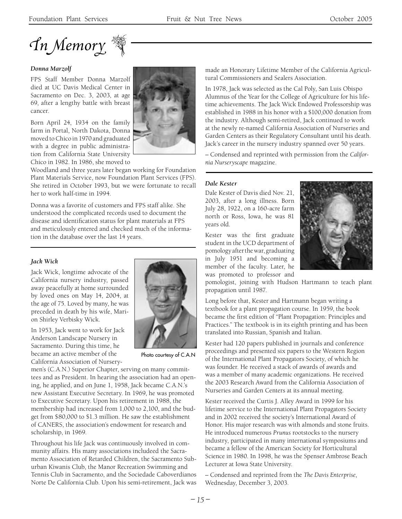

#### *Donna Marzolf*

FPS Staff Member Donna Marzolf died at UC Davis Medical Center in Sacramento on Dec. 3, 2003, at age 69, after a lengthy battle with breast cancer.

Born April 24, 1934 on the family farm in Portal, North Dakota, Donna moved to Chico in 1970 and graduated with a degree in public administration from California State University Chico in 1982. In 1986, she moved to

Woodland and three years later began working for Foundation Plant Materials Service, now Foundation Plant Services (FPS). She retired in October 1993, but we were fortunate to recall her to work half-time in 1994.

Donna was a favorite of customers and FPS staff alike. She understood the complicated records used to document the disease and identification status for plant materials at FPS and meticulously entered and checked much of the information in the database over the last 14 years.

#### *Jack Wick*

Jack Wick, longtime advocate of the California nursery industry, passed away peacefully at home surrounded by loved ones on May 14, 2004, at the age of 75. Loved by many, he was preceded in death by his wife, Marion Shirley Verbisky Wick.

In 1953, Jack went to work for Jack Anderson Landscape Nursery in Sacramento. During this time, he became an active member of the California Association of Nursery-



Photo courtesy of C.A.N

men's (C.A.N.) Superior Chapter, serving on many committees and as President. In hearing the association had an opening, he applied, and on June 1, 1958, Jack became C.A.N.'s new Assistant Executive Secretary. In 1969, he was promoted to Executive Secretary. Upon his retirement in 1988, the membership had increased from 1,000 to 2,100, and the budget from \$80,000 to \$1.3 million. He saw the establishment of CANERS, the association's endowment for research and scholarship, in 1969.

Throughout his life Jack was continuously involved in community affairs. His many associations includeed the Sacramento Association of Retarded Children, the Sacramento Suburban Kiwanis Club, the Manor Recreation Swimming and Tennis Club in Sacramento, and the Sociedade Caboverdianos Norte De California Club. Upon his semi-retirement, Jack was made an Honorary Lifetime Member of the California Agricultural Commissioners and Sealers Association.

In 1978, Jack was selected as the Cal Poly, San Luis Obispo Alumnus of the Year for the College of Agriculture for his lifetime achievements. The Jack Wick Endowed Professorship was established in 1988 in his honor with a \$100,000 donation from the industry. Although semi-retired, Jack continued to work at the newly re-named California Association of Nurseries and Garden Centers as their Regulatory Consultant until his death. Jack's career in the nursery industry spanned over 50 years.

– Condensed and reprinted with permission from the *California Nurseryscape* magazine.

#### *Dale Kester*

Dale Kester of Davis died Nov. 21, 2003, after a long illness. Born July 28, 1922, on a 160-acre farm north or Ross, Iowa, he was 81 years old.

Kester was the first graduate student in the UCD department of pomology after the war, graduating in July 1951 and becoming a member of the faculty. Later, he was promoted to professor and



pomologist, joining with Hudson Hartmann to teach plant propagation until 1987.

Long before that, Kester and Hartmann began writing a textbook for a plant propagation course. In 1959, the book became the first edition of "Plant Propagation: Principles and Practices." The textbook is in its eighth printing and has been translated into Russian, Spanish and Italian.

Kester had 120 papers published in journals and conference proceedings and presented six papers to the Western Region of the International Plant Propagators Society, of which he was founder. He received a stack of awards of awards and was a member of many academic organizations. He received the 2003 Research Award from the California Association of Nurseries and Garden Centers at its annual meeting.

Kester received the Curtis J. Alley Award in 1999 for his lifetime service to the International Plant Propagators Society and in 2002 received the society's International Award of Honor. His major research was with almonds and stone fruits. He introduced numerous *Prunus* rootstocks to the nursery industry, participated in many international symposiums and became a fellow of the American Society for Horticultural Science in 1980. In 1998, he was the Spenser Ambrose Beach Lecturer at Iowa State University.

– Condensed and reprinted from the *The Davis Enterprise*, Wednesday, December 3, 2003.